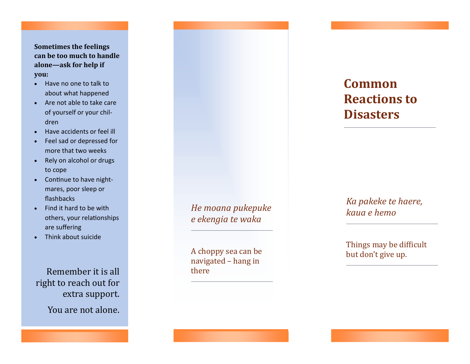## **Sometimes the feelings can be too much to handle alone —ask for help if you:**

- Have no one to talk to about what happened
- Are not able to take care of yourself or your children
- Have accidents or feel ill
- Feel sad or depressed for more that two weeks
- Rely on alcohol or drugs to cope
- Continue to have nightmares, poor sleep or flashbacks
- Find it hard to be with others, your relationships are suffering
- Think about suicide

Remember it is all right to reach out for extra support.

You are not alone.

*He moana pukepuke e ekengia te waka*

A choppy sea can be navigated – hang in there

# **Common Reactions to Disasters**

*Ka pakeke te haere, kaua e hemo*

Things may be difficult but don't give up.